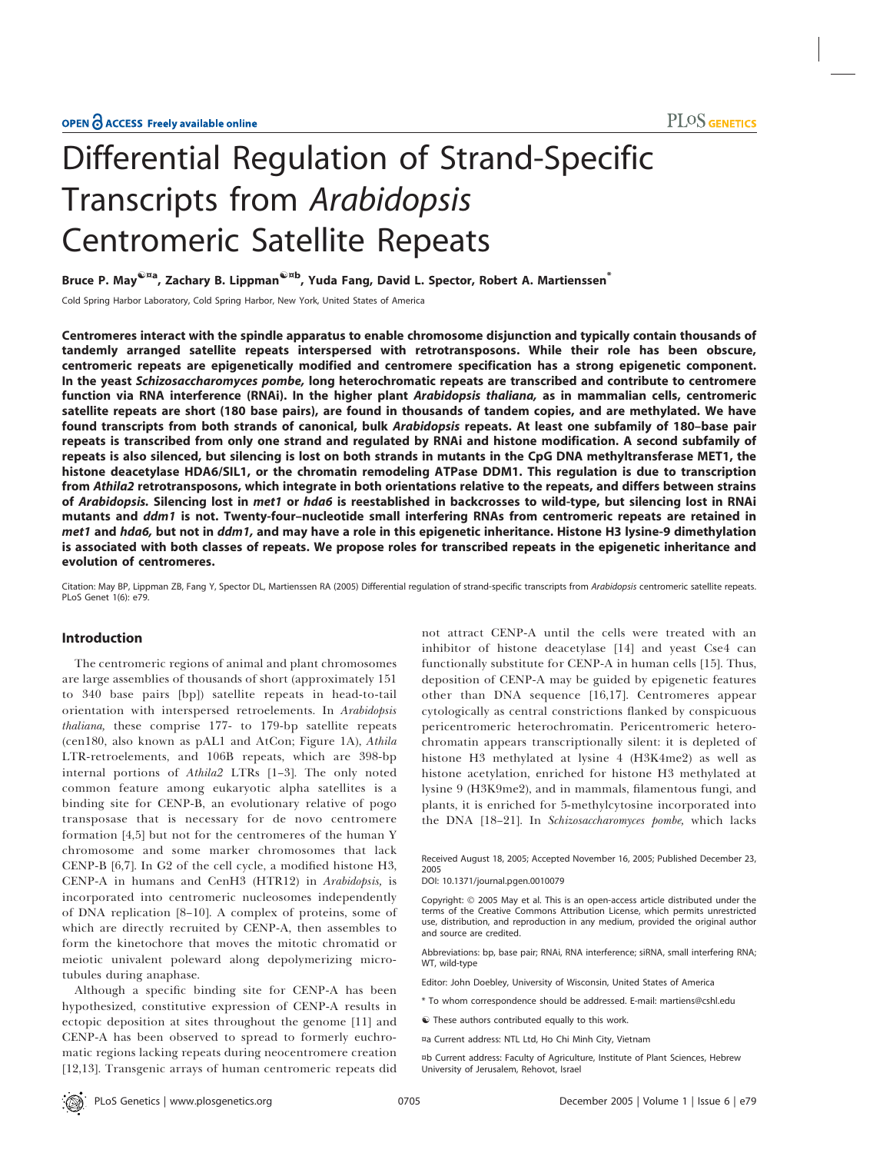# Differential Regulation of Strand-Specific Transcripts from Arabidopsis Centromeric Satellite Repeats

Bruce P. May<sup>@¤a</sup>, Zachary B. Lippman<sup>@¤b</sup>, Yuda Fang, David L. Spector, Robert A. Martienssen<sup>\*</sup>

Cold Spring Harbor Laboratory, Cold Spring Harbor, New York, United States of America

Centromeres interact with the spindle apparatus to enable chromosome disjunction and typically contain thousands of tandemly arranged satellite repeats interspersed with retrotransposons. While their role has been obscure, centromeric repeats are epigenetically modified and centromere specification has a strong epigenetic component. In the yeast Schizosaccharomyces pombe, long heterochromatic repeats are transcribed and contribute to centromere function via RNA interference (RNAi). In the higher plant Arabidopsis thaliana, as in mammalian cells, centromeric satellite repeats are short (180 base pairs), are found in thousands of tandem copies, and are methylated. We have found transcripts from both strands of canonical, bulk Arabidopsis repeats. At least one subfamily of 180–base pair repeats is transcribed from only one strand and regulated by RNAi and histone modification. A second subfamily of repeats is also silenced, but silencing is lost on both strands in mutants in the CpG DNA methyltransferase MET1, the histone deacetylase HDA6/SIL1, or the chromatin remodeling ATPase DDM1. This regulation is due to transcription from Athila2 retrotransposons, which integrate in both orientations relative to the repeats, and differs between strains of Arabidopsis. Silencing lost in met1 or hda6 is reestablished in backcrosses to wild-type, but silencing lost in RNAi mutants and ddm1 is not. Twenty-four–nucleotide small interfering RNAs from centromeric repeats are retained in met1 and hda6, but not in ddm1, and may have a role in this epigenetic inheritance. Histone H3 lysine-9 dimethylation is associated with both classes of repeats. We propose roles for transcribed repeats in the epigenetic inheritance and evolution of centromeres.

Citation: May BP, Lippman ZB, Fang Y, Spector DL, Martienssen RA (2005) Differential regulation of strand-specific transcripts from Arabidopsis centromeric satellite repeats. PLoS Genet 1(6): e79.

## Introduction

The centromeric regions of animal and plant chromosomes are large assemblies of thousands of short (approximately 151 to 340 base pairs [bp]) satellite repeats in head-to-tail orientation with interspersed retroelements. In Arabidopsis thaliana, these comprise 177- to 179-bp satellite repeats (cen180, also known as pAL1 and AtCon; Figure 1A), Athila LTR-retroelements, and 106B repeats, which are 398-bp internal portions of Athila2 LTRs [1–3]. The only noted common feature among eukaryotic alpha satellites is a binding site for CENP-B, an evolutionary relative of pogo transposase that is necessary for de novo centromere formation [4,5] but not for the centromeres of the human Y chromosome and some marker chromosomes that lack CENP-B [6,7]. In G2 of the cell cycle, a modified histone H3, CENP-A in humans and CenH3 (HTR12) in Arabidopsis, is incorporated into centromeric nucleosomes independently of DNA replication [8–10]. A complex of proteins, some of which are directly recruited by CENP-A, then assembles to form the kinetochore that moves the mitotic chromatid or meiotic univalent poleward along depolymerizing microtubules during anaphase.

Although a specific binding site for CENP-A has been hypothesized, constitutive expression of CENP-A results in ectopic deposition at sites throughout the genome [11] and CENP-A has been observed to spread to formerly euchromatic regions lacking repeats during neocentromere creation [12,13]. Transgenic arrays of human centromeric repeats did not attract CENP-A until the cells were treated with an inhibitor of histone deacetylase [14] and yeast Cse4 can functionally substitute for CENP-A in human cells [15]. Thus, deposition of CENP-A may be guided by epigenetic features other than DNA sequence [16,17]. Centromeres appear cytologically as central constrictions flanked by conspicuous pericentromeric heterochromatin. Pericentromeric heterochromatin appears transcriptionally silent: it is depleted of histone H3 methylated at lysine 4 (H3K4me2) as well as histone acetylation, enriched for histone H3 methylated at lysine 9 (H3K9me2), and in mammals, filamentous fungi, and plants, it is enriched for 5-methylcytosine incorporated into the DNA [18-21]. In Schizosaccharomyces pombe, which lacks

Received August 18, 2005; Accepted November 16, 2005; Published December 23, 2005

DOI: 10.1371/journal.pgen.0010079

Copyright: © 2005 May et al. This is an open-access article distributed under the terms of the Creative Commons Attribution License, which permits unrestricted use, distribution, and reproduction in any medium, provided the original author and source are credited.

Abbreviations: bp, base pair; RNAi, RNA interference; siRNA, small interfering RNA; WT, wild-type

Editor: John Doebley, University of Wisconsin, United States of America

- \* To whom correspondence should be addressed. E-mail: martiens@cshl.edu
- $\hat{\mathbf{v}}$  These authors contributed equally to this work.
- ¤a Current address: NTL Ltd, Ho Chi Minh City, Vietnam
- ¤b Current address: Faculty of Agriculture, Institute of Plant Sciences, Hebrew University of Jerusalem, Rehovot, Israel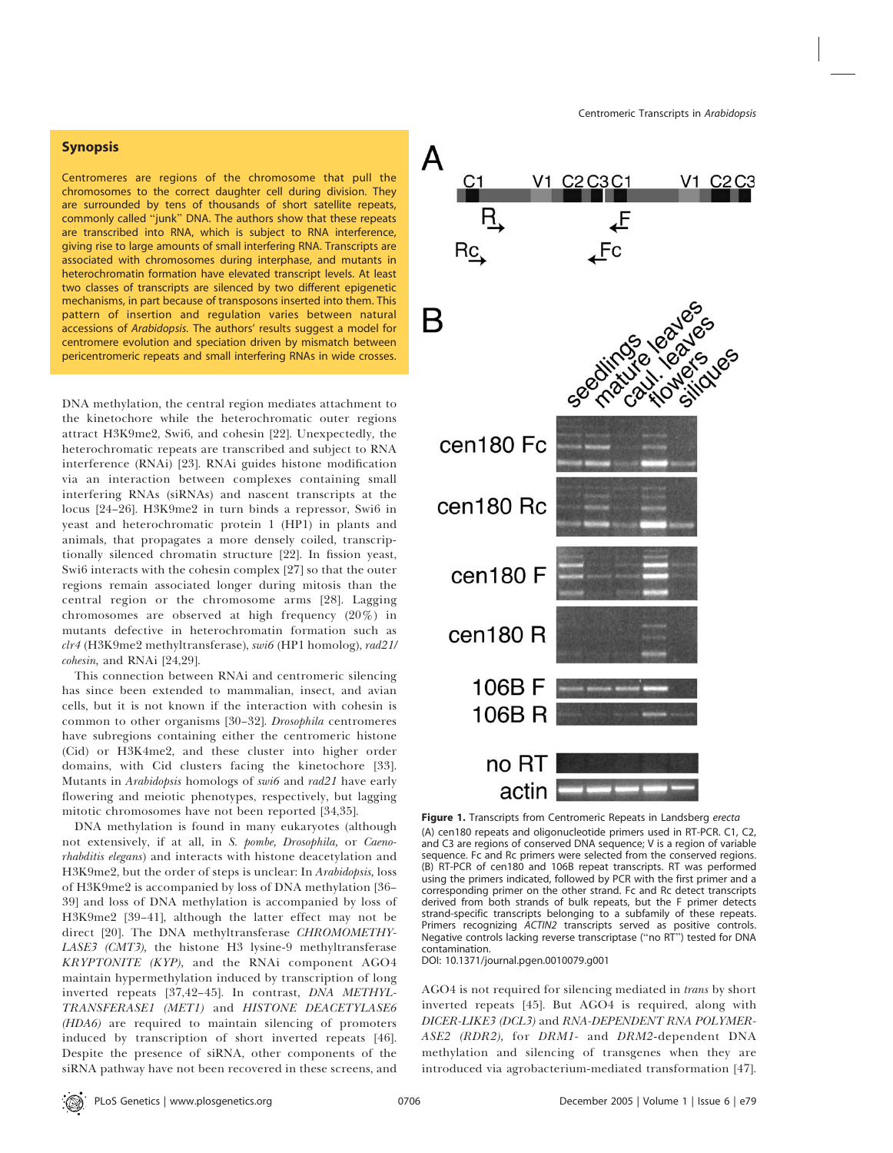## Synopsis

Centromeres are regions of the chromosome that pull the chromosomes to the correct daughter cell during division. They are surrounded by tens of thousands of short satellite repeats, commonly called ''junk'' DNA. The authors show that these repeats are transcribed into RNA, which is subject to RNA interference, giving rise to large amounts of small interfering RNA. Transcripts are associated with chromosomes during interphase, and mutants in heterochromatin formation have elevated transcript levels. At least two classes of transcripts are silenced by two different epigenetic mechanisms, in part because of transposons inserted into them. This pattern of insertion and regulation varies between natural accessions of Arabidopsis. The authors' results suggest a model for centromere evolution and speciation driven by mismatch between pericentromeric repeats and small interfering RNAs in wide crosses.

DNA methylation, the central region mediates attachment to the kinetochore while the heterochromatic outer regions attract H3K9me2, Swi6, and cohesin [22]. Unexpectedly, the heterochromatic repeats are transcribed and subject to RNA interference (RNAi) [23]. RNAi guides histone modification via an interaction between complexes containing small interfering RNAs (siRNAs) and nascent transcripts at the locus [24–26]. H3K9me2 in turn binds a repressor, Swi6 in yeast and heterochromatic protein 1 (HP1) in plants and animals, that propagates a more densely coiled, transcriptionally silenced chromatin structure [22]. In fission yeast, Swi6 interacts with the cohesin complex [27] so that the outer regions remain associated longer during mitosis than the central region or the chromosome arms [28]. Lagging chromosomes are observed at high frequency (20%) in mutants defective in heterochromatin formation such as clr4 (H3K9me2 methyltransferase), swi6 (HP1 homolog), rad21/ cohesin, and RNAi [24,29].

This connection between RNAi and centromeric silencing has since been extended to mammalian, insect, and avian cells, but it is not known if the interaction with cohesin is common to other organisms [30–32]. Drosophila centromeres have subregions containing either the centromeric histone (Cid) or H3K4me2, and these cluster into higher order domains, with Cid clusters facing the kinetochore [33]. Mutants in *Arabidopsis* homologs of *swi6* and *rad21* have early flowering and meiotic phenotypes, respectively, but lagging mitotic chromosomes have not been reported [34,35].

DNA methylation is found in many eukaryotes (although not extensively, if at all, in S. pombe, Drosophila, or Caenorhabditis elegans) and interacts with histone deacetylation and H3K9me2, but the order of steps is unclear: In Arabidopsis, loss of H3K9me2 is accompanied by loss of DNA methylation [36– 39] and loss of DNA methylation is accompanied by loss of H3K9me2 [39–41], although the latter effect may not be direct [20]. The DNA methyltransferase CHROMOMETHY-LASE3 (CMT3), the histone H3 lysine-9 methyltransferase KRYPTONITE (KYP), and the RNAi component AGO4 maintain hypermethylation induced by transcription of long inverted repeats [37,42–45]. In contrast, DNA METHYL-TRANSFERASE1 (MET1) and HISTONE DEACETYLASE6 (HDA6) are required to maintain silencing of promoters induced by transcription of short inverted repeats [46]. Despite the presence of siRNA, other components of the siRNA pathway have not been recovered in these screens, and



Figure 1. Transcripts from Centromeric Repeats in Landsberg erecta (A) cen180 repeats and oligonucleotide primers used in RT-PCR. C1, C2, and C3 are regions of conserved DNA sequence; V is a region of variable sequence. Fc and Rc primers were selected from the conserved regions. (B) RT-PCR of cen180 and 106B repeat transcripts. RT was performed using the primers indicated, followed by PCR with the first primer and a corresponding primer on the other strand. Fc and Rc detect transcripts derived from both strands of bulk repeats, but the F primer detects strand-specific transcripts belonging to a subfamily of these repeats. Primers recognizing ACTIN2 transcripts served as positive controls. Negative controls lacking reverse transcriptase (''no RT'') tested for DNA contamination.

DOI: 10.1371/journal.pgen.0010079.g001

AGO4 is not required for silencing mediated in trans by short inverted repeats [45]. But AGO4 is required, along with DICER-LIKE3 (DCL3) and RNA-DEPENDENT RNA POLYMER-ASE2 (RDR2), for DRM1- and DRM2-dependent DNA methylation and silencing of transgenes when they are introduced via agrobacterium-mediated transformation [47].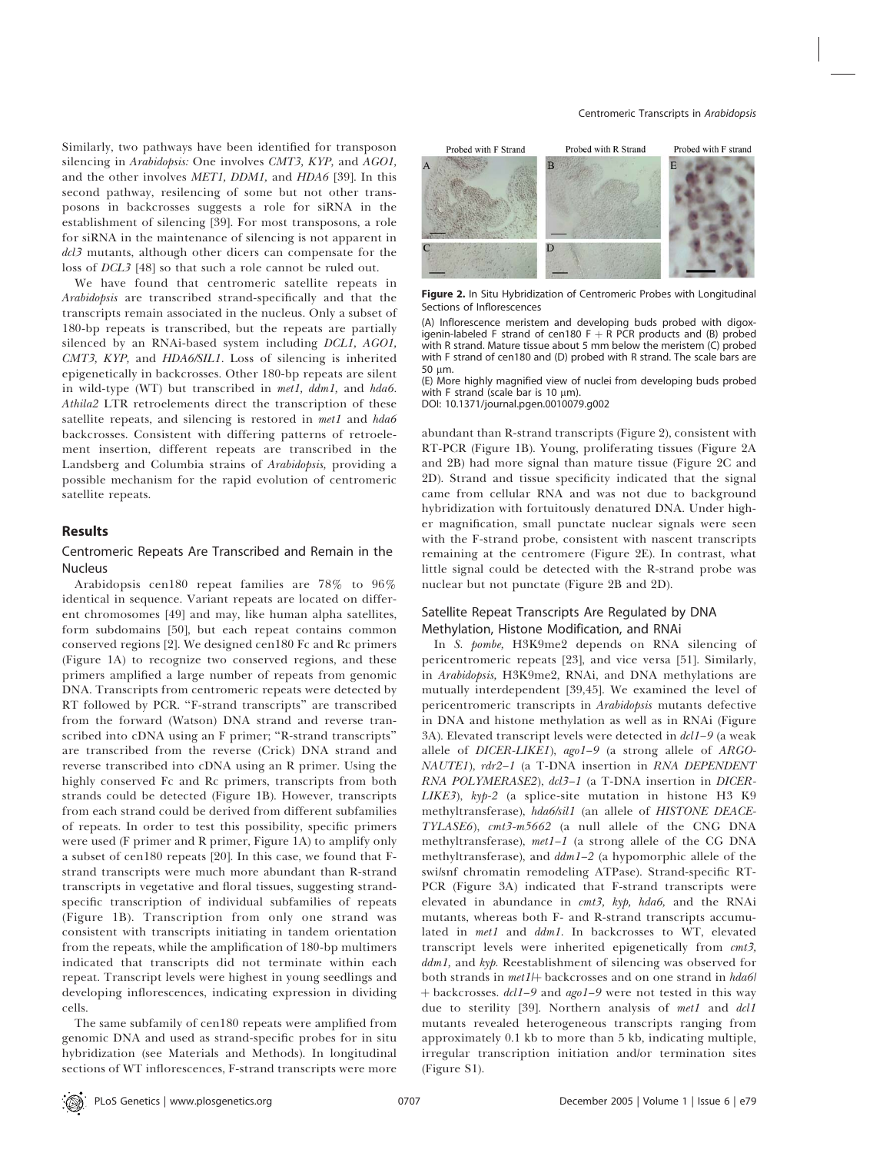Similarly, two pathways have been identified for transposon silencing in Arabidopsis: One involves CMT3, KYP, and AGO1, and the other involves MET1, DDM1, and HDA6 [39]. In this second pathway, resilencing of some but not other transposons in backcrosses suggests a role for siRNA in the establishment of silencing [39]. For most transposons, a role for siRNA in the maintenance of silencing is not apparent in dcl3 mutants, although other dicers can compensate for the loss of DCL3 [48] so that such a role cannot be ruled out.

We have found that centromeric satellite repeats in Arabidopsis are transcribed strand-specifically and that the transcripts remain associated in the nucleus. Only a subset of 180-bp repeats is transcribed, but the repeats are partially silenced by an RNAi-based system including DCL1, AGO1, CMT3, KYP, and HDA6/SIL1. Loss of silencing is inherited epigenetically in backcrosses. Other 180-bp repeats are silent in wild-type (WT) but transcribed in met1, ddm1, and hda6. Athila2 LTR retroelements direct the transcription of these satellite repeats, and silencing is restored in met1 and hda6 backcrosses. Consistent with differing patterns of retroelement insertion, different repeats are transcribed in the Landsberg and Columbia strains of Arabidopsis, providing a possible mechanism for the rapid evolution of centromeric satellite repeats.

## Results

# Centromeric Repeats Are Transcribed and Remain in the **Nucleus**

Arabidopsis cen180 repeat families are 78% to 96% identical in sequence. Variant repeats are located on different chromosomes [49] and may, like human alpha satellites, form subdomains [50], but each repeat contains common conserved regions [2]. We designed cen180 Fc and Rc primers (Figure 1A) to recognize two conserved regions, and these primers amplified a large number of repeats from genomic DNA. Transcripts from centromeric repeats were detected by RT followed by PCR. ''F-strand transcripts'' are transcribed from the forward (Watson) DNA strand and reverse transcribed into cDNA using an F primer; ''R-strand transcripts'' are transcribed from the reverse (Crick) DNA strand and reverse transcribed into cDNA using an R primer. Using the highly conserved Fc and Rc primers, transcripts from both strands could be detected (Figure 1B). However, transcripts from each strand could be derived from different subfamilies of repeats. In order to test this possibility, specific primers were used (F primer and R primer, Figure 1A) to amplify only a subset of cen180 repeats [20]. In this case, we found that Fstrand transcripts were much more abundant than R-strand transcripts in vegetative and floral tissues, suggesting strandspecific transcription of individual subfamilies of repeats (Figure 1B). Transcription from only one strand was consistent with transcripts initiating in tandem orientation from the repeats, while the amplification of 180-bp multimers indicated that transcripts did not terminate within each repeat. Transcript levels were highest in young seedlings and developing inflorescences, indicating expression in dividing cells.

The same subfamily of cen180 repeats were amplified from genomic DNA and used as strand-specific probes for in situ hybridization (see Materials and Methods). In longitudinal sections of WT inflorescences, F-strand transcripts were more



Figure 2. In Situ Hybridization of Centromeric Probes with Longitudinal Sections of Inflorescences

(A) Inflorescence meristem and developing buds probed with digoxigenin-labeled F strand of cen180  $F + R$  PCR products and (B) probed with R strand. Mature tissue about 5 mm below the meristem (C) probed with F strand of cen180 and (D) probed with R strand. The scale bars are 50 um.

(E) More highly magnified view of nuclei from developing buds probed with F strand (scale bar is 10  $\mu$ m).

DOI: 10.1371/journal.pgen.0010079.g002

abundant than R-strand transcripts (Figure 2), consistent with RT-PCR (Figure 1B). Young, proliferating tissues (Figure 2A and 2B) had more signal than mature tissue (Figure 2C and 2D). Strand and tissue specificity indicated that the signal came from cellular RNA and was not due to background hybridization with fortuitously denatured DNA. Under higher magnification, small punctate nuclear signals were seen with the F-strand probe, consistent with nascent transcripts remaining at the centromere (Figure 2E). In contrast, what little signal could be detected with the R-strand probe was nuclear but not punctate (Figure 2B and 2D).

## Satellite Repeat Transcripts Are Regulated by DNA Methylation, Histone Modification, and RNAi

In S. pombe, H3K9me2 depends on RNA silencing of pericentromeric repeats [23], and vice versa [51]. Similarly, in Arabidopsis, H3K9me2, RNAi, and DNA methylations are mutually interdependent [39,45]. We examined the level of pericentromeric transcripts in Arabidopsis mutants defective in DNA and histone methylation as well as in RNAi (Figure 3A). Elevated transcript levels were detected in dcl1-9 (a weak allele of DICER-LIKE1), ago1–9 (a strong allele of ARGO-NAUTE1), rdr2–1 (a T-DNA insertion in RNA DEPENDENT RNA POLYMERASE2), dcl3–1 (a T-DNA insertion in DICER-LIKE3),  $kyp-2$  (a splice-site mutation in histone H3 K9 methyltransferase), hda6/sil1 (an allele of HISTONE DEACE-TYLASE6), cmt3-m5662 (a null allele of the CNG DNA methyltransferase), met1–1 (a strong allele of the CG DNA methyltransferase), and  $ddm1-2$  (a hypomorphic allele of the swi/snf chromatin remodeling ATPase). Strand-specific RT-PCR (Figure 3A) indicated that F-strand transcripts were elevated in abundance in cmt3, kyp, hda6, and the RNAi mutants, whereas both F- and R-strand transcripts accumulated in met1 and ddm1. In backcrosses to WT, elevated transcript levels were inherited epigenetically from cmt3, ddm1, and kyp. Reestablishment of silencing was observed for both strands in met1/+ backcrosses and on one strand in hda6/ + backcrosses. dcl1-9 and ago1-9 were not tested in this way due to sterility [39]. Northern analysis of met1 and dcl1 mutants revealed heterogeneous transcripts ranging from approximately 0.1 kb to more than 5 kb, indicating multiple, irregular transcription initiation and/or termination sites (Figure S1).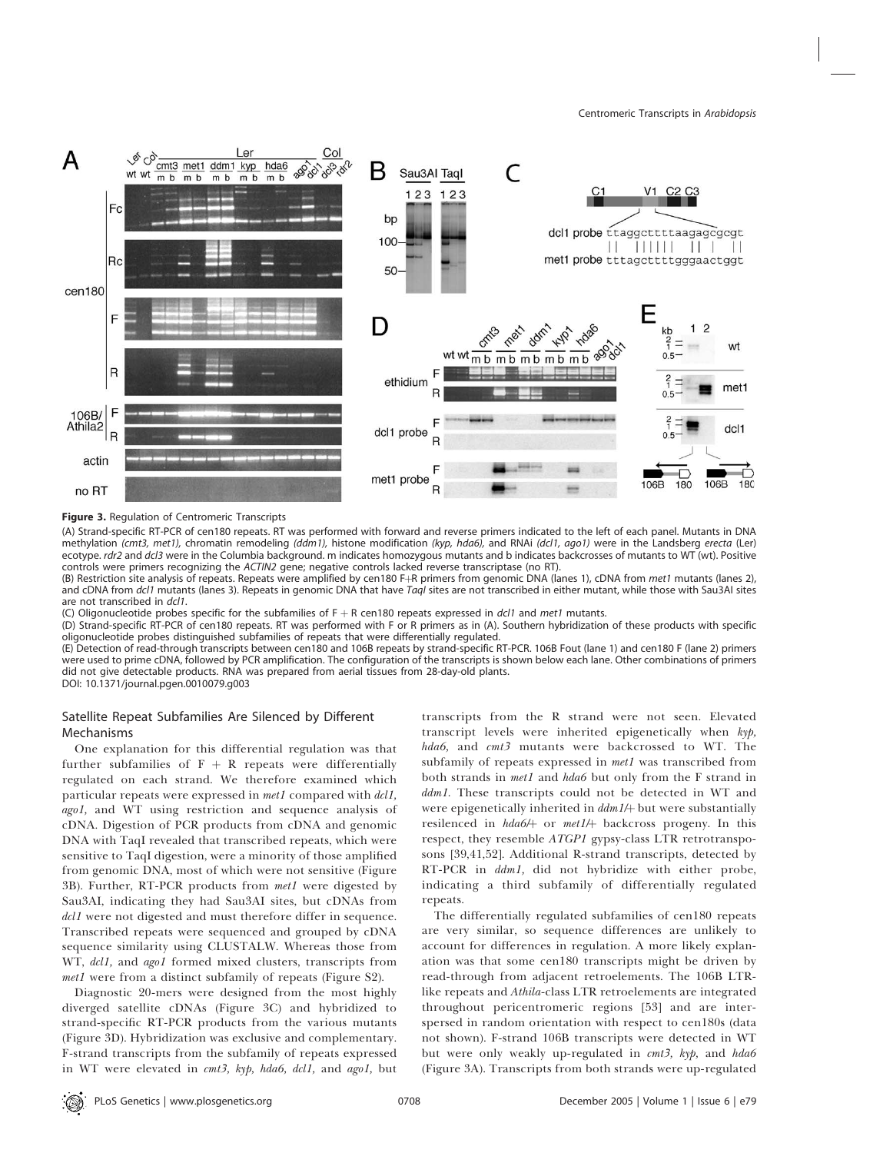

Figure 3. Regulation of Centromeric Transcripts

(A) Strand-specific RT-PCR of cen180 repeats. RT was performed with forward and reverse primers indicated to the left of each panel. Mutants in DNA methylation (cmt3, met1), chromatin remodeling (ddm1), histone modification (kyp, hda6), and RNAi (dcl1, ago1) were in the Landsberg erecta (Ler) ecotype. rdr2 and dcl3 were in the Columbia background. m indicates homozygous mutants and b indicates backcrosses of mutants to WT (wt). Positive controls were primers recognizing the ACTIN2 gene; negative controls lacked reverse transcriptase (no RT).

(B) Restriction site analysis of repeats. Repeats were amplified by cen180 F+R primers from genomic DNA (lanes 1), cDNA from met1 mutants (lanes 2), and cDNA from dcl1 mutants (lanes 3). Repeats in genomic DNA that have TaqI sites are not transcribed in either mutant, while those with Sau3AI sites are not transcribed in dcl1.

(C) Oligonucleotide probes specific for the subfamilies of  $F + R$  cen180 repeats expressed in dcl1 and met1 mutants.

(D) Strand-specific RT-PCR of cen180 repeats. RT was performed with F or R primers as in (A). Southern hybridization of these products with specific oligonucleotide probes distinguished subfamilies of repeats that were differentially regulated.

(E) Detection of read-through transcripts between cen180 and 106B repeats by strand-specific RT-PCR. 106B Fout (lane 1) and cen180 F (lane 2) primers were used to prime cDNA, followed by PCR amplification. The configuration of the transcripts is shown below each lane. Other combinations of primers did not give detectable products. RNA was prepared from aerial tissues from 28-day-old plants. DOI: 10.1371/journal.pgen.0010079.g003

# Satellite Repeat Subfamilies Are Silenced by Different Mechanisms

One explanation for this differential regulation was that further subfamilies of  $F + R$  repeats were differentially regulated on each strand. We therefore examined which particular repeats were expressed in met1 compared with dcl1, ago1, and WT using restriction and sequence analysis of cDNA. Digestion of PCR products from cDNA and genomic DNA with TaqI revealed that transcribed repeats, which were sensitive to TaqI digestion, were a minority of those amplified from genomic DNA, most of which were not sensitive (Figure 3B). Further, RT-PCR products from met1 were digested by Sau3AI, indicating they had Sau3AI sites, but cDNAs from dcl1 were not digested and must therefore differ in sequence. Transcribed repeats were sequenced and grouped by cDNA sequence similarity using CLUSTALW. Whereas those from WT, dcl1, and ago1 formed mixed clusters, transcripts from met1 were from a distinct subfamily of repeats (Figure S2).

Diagnostic 20-mers were designed from the most highly diverged satellite cDNAs (Figure 3C) and hybridized to strand-specific RT-PCR products from the various mutants (Figure 3D). Hybridization was exclusive and complementary. F-strand transcripts from the subfamily of repeats expressed in WT were elevated in cmt3, kyp, hda6, dcl1, and ago1, but

transcripts from the R strand were not seen. Elevated transcript levels were inherited epigenetically when kyp, hda6, and cmt3 mutants were backcrossed to WT. The subfamily of repeats expressed in *met1* was transcribed from both strands in met1 and hda6 but only from the F strand in ddm1. These transcripts could not be detected in WT and were epigenetically inherited in  $ddm1/$  but were substantially resilenced in hda6/ $+$  or met1/ $+$  backcross progeny. In this respect, they resemble ATGP1 gypsy-class LTR retrotransposons [39,41,52]. Additional R-strand transcripts, detected by RT-PCR in  $ddm1$ , did not hybridize with either probe, indicating a third subfamily of differentially regulated repeats.

The differentially regulated subfamilies of cen180 repeats are very similar, so sequence differences are unlikely to account for differences in regulation. A more likely explanation was that some cen180 transcripts might be driven by read-through from adjacent retroelements. The 106B LTRlike repeats and Athila-class LTR retroelements are integrated throughout pericentromeric regions [53] and are interspersed in random orientation with respect to cen180s (data not shown). F-strand 106B transcripts were detected in WT but were only weakly up-regulated in cmt3, kyp, and hda6 (Figure 3A). Transcripts from both strands were up-regulated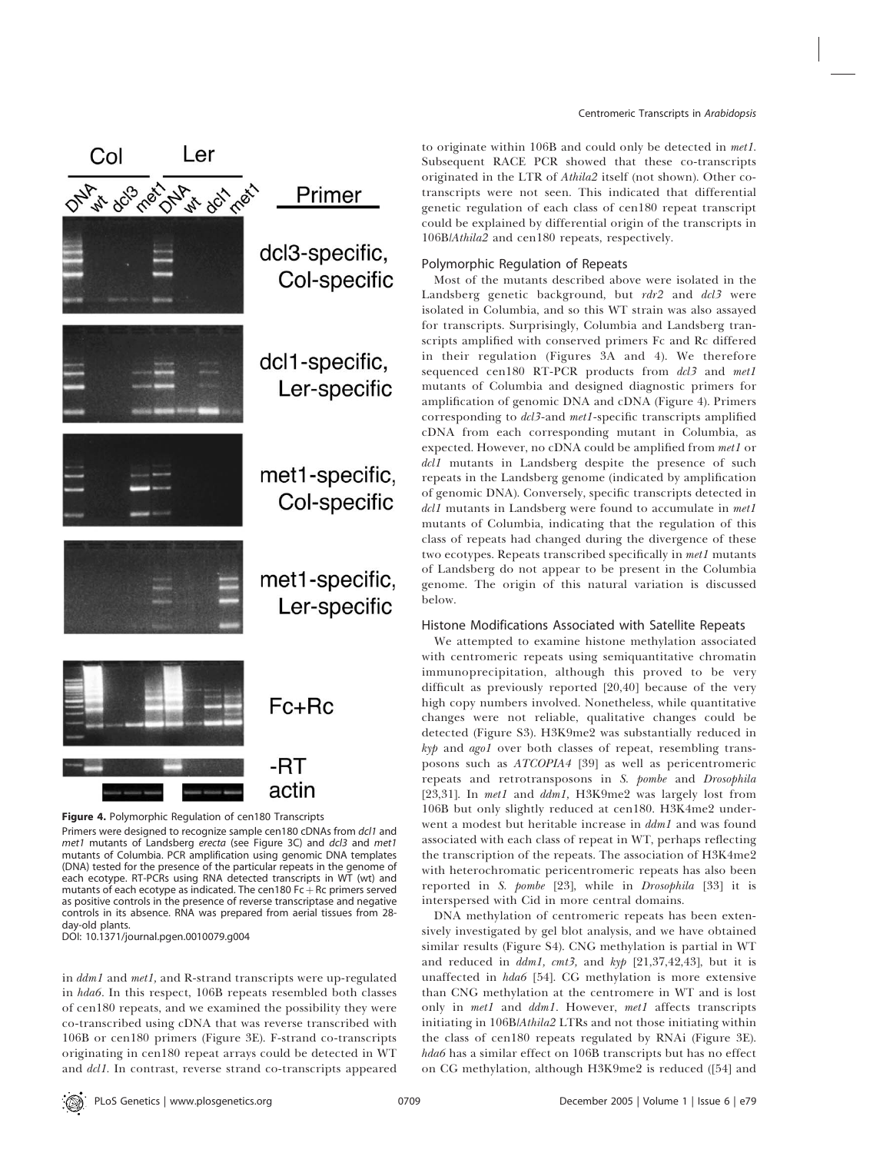

Figure 4. Polymorphic Regulation of cen180 Transcripts

Primers were designed to recognize sample cen180 cDNAs from dcl1 and met1 mutants of Landsberg erecta (see Figure 3C) and dcl3 and met1 mutants of Columbia. PCR amplification using genomic DNA templates (DNA) tested for the presence of the particular repeats in the genome of each ecotype. RT-PCRs using RNA detected transcripts in WT (wt) and mutants of each ecotype as indicated. The cen180 Fc  $+$  Rc primers served as positive controls in the presence of reverse transcriptase and negative controls in its absence. RNA was prepared from aerial tissues from 28 day-old plants.

DOI: 10.1371/journal.pgen.0010079.g004

in ddm1 and met1, and R-strand transcripts were up-regulated in hda6. In this respect, 106B repeats resembled both classes of cen180 repeats, and we examined the possibility they were co-transcribed using cDNA that was reverse transcribed with 106B or cen180 primers (Figure 3E). F-strand co-transcripts originating in cen180 repeat arrays could be detected in WT and dcl1. In contrast, reverse strand co-transcripts appeared

to originate within 106B and could only be detected in met1. Subsequent RACE PCR showed that these co-transcripts originated in the LTR of Athila2 itself (not shown). Other cotranscripts were not seen. This indicated that differential genetic regulation of each class of cen180 repeat transcript could be explained by differential origin of the transcripts in 106B/Athila2 and cen180 repeats, respectively.

# Polymorphic Regulation of Repeats

Most of the mutants described above were isolated in the Landsberg genetic background, but rdr2 and dcl3 were isolated in Columbia, and so this WT strain was also assayed for transcripts. Surprisingly, Columbia and Landsberg transcripts amplified with conserved primers Fc and Rc differed in their regulation (Figures 3A and 4). We therefore sequenced cen180 RT-PCR products from dcl3 and met1 mutants of Columbia and designed diagnostic primers for amplification of genomic DNA and cDNA (Figure 4). Primers corresponding to  $dcl3$ -and met1-specific transcripts amplified cDNA from each corresponding mutant in Columbia, as expected. However, no cDNA could be amplified from met1 or dcl1 mutants in Landsberg despite the presence of such repeats in the Landsberg genome (indicated by amplification of genomic DNA). Conversely, specific transcripts detected in dcl1 mutants in Landsberg were found to accumulate in met1 mutants of Columbia, indicating that the regulation of this class of repeats had changed during the divergence of these two ecotypes. Repeats transcribed specifically in met1 mutants of Landsberg do not appear to be present in the Columbia genome. The origin of this natural variation is discussed below.

# Histone Modifications Associated with Satellite Repeats

We attempted to examine histone methylation associated with centromeric repeats using semiquantitative chromatin immunoprecipitation, although this proved to be very difficult as previously reported [20,40] because of the very high copy numbers involved. Nonetheless, while quantitative changes were not reliable, qualitative changes could be detected (Figure S3). H3K9me2 was substantially reduced in kyp and agol over both classes of repeat, resembling transposons such as ATCOPIA4 [39] as well as pericentromeric repeats and retrotransposons in S. pombe and Drosophila [23,31]. In met1 and ddm1, H3K9me2 was largely lost from 106B but only slightly reduced at cen180. H3K4me2 underwent a modest but heritable increase in  $ddm1$  and was found associated with each class of repeat in WT, perhaps reflecting the transcription of the repeats. The association of H3K4me2 with heterochromatic pericentromeric repeats has also been reported in S. pombe [23], while in Drosophila [33] it is interspersed with Cid in more central domains.

DNA methylation of centromeric repeats has been extensively investigated by gel blot analysis, and we have obtained similar results (Figure S4). CNG methylation is partial in WT and reduced in  $ddm1$ ,  $cmt3$ , and  $kyp$  [21,37,42,43], but it is unaffected in hda6 [54]. CG methylation is more extensive than CNG methylation at the centromere in WT and is lost only in met1 and ddm1. However, met1 affects transcripts initiating in 106B/Athila2 LTRs and not those initiating within the class of cen180 repeats regulated by RNAi (Figure 3E). hda6 has a similar effect on 106B transcripts but has no effect on CG methylation, although H3K9me2 is reduced ([54] and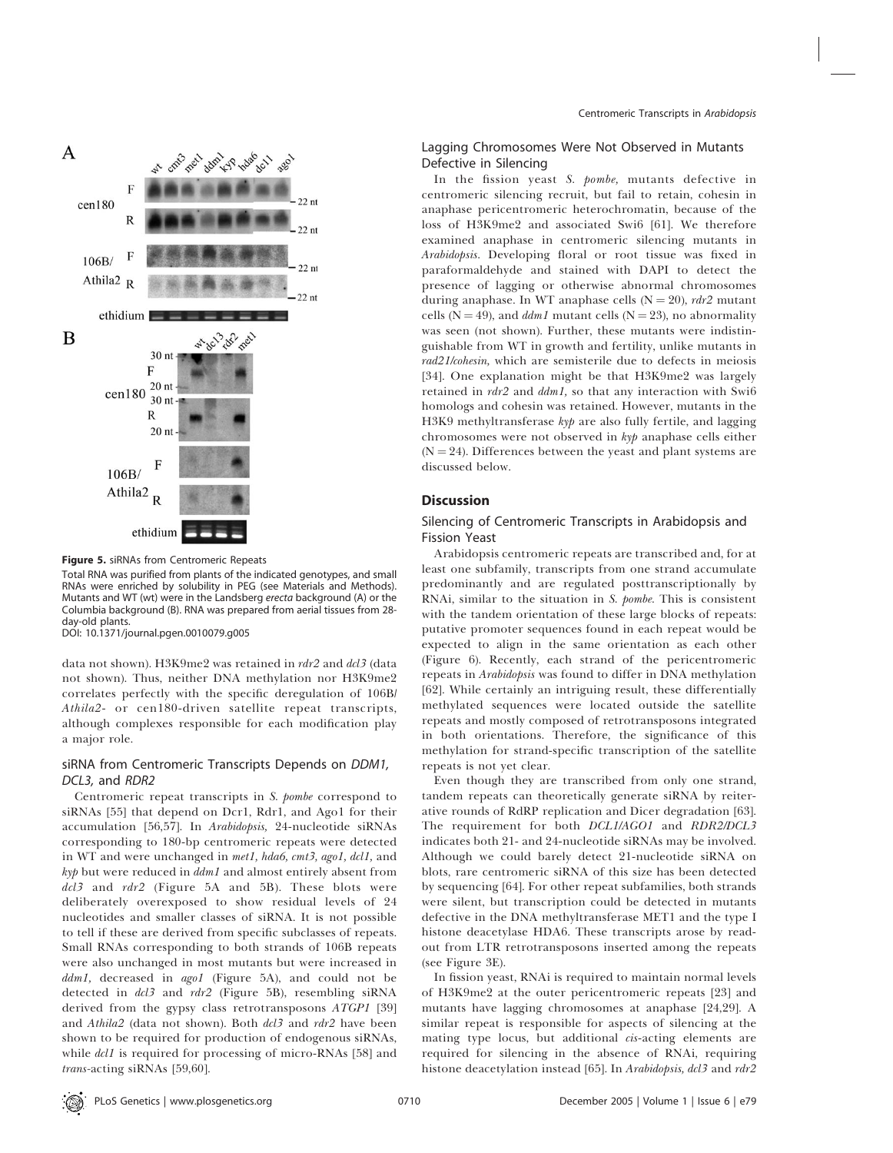

Figure 5. siRNAs from Centromeric Repeats Total RNA was purified from plants of the indicated genotypes, and small RNAs were enriched by solubility in PEG (see Materials and Methods). Mutants and WT (wt) were in the Landsberg erecta background (A) or the Columbia background (B). RNA was prepared from aerial tissues from 28 day-old plants.

DOI: 10.1371/journal.pgen.0010079.g005

data not shown). H3K9me2 was retained in rdr2 and dcl3 (data not shown). Thus, neither DNA methylation nor H3K9me2 correlates perfectly with the specific deregulation of 106B/ Athila2- or cen180-driven satellite repeat transcripts, although complexes responsible for each modification play a major role.

# siRNA from Centromeric Transcripts Depends on DDM1, DCL3, and RDR2

Centromeric repeat transcripts in S. pombe correspond to siRNAs [55] that depend on Dcr1, Rdr1, and Ago1 for their accumulation [56,57]. In Arabidopsis, 24-nucleotide siRNAs corresponding to 180-bp centromeric repeats were detected in WT and were unchanged in met1, hda6, cmt3, ago1, dcl1, and kyp but were reduced in ddm1 and almost entirely absent from  $dcl3$  and  $rdr2$  (Figure 5A and 5B). These blots were deliberately overexposed to show residual levels of 24 nucleotides and smaller classes of siRNA. It is not possible to tell if these are derived from specific subclasses of repeats. Small RNAs corresponding to both strands of 106B repeats were also unchanged in most mutants but were increased in ddm1, decreased in ago1 (Figure 5A), and could not be detected in  $dcl3$  and  $rdr2$  (Figure 5B), resembling siRNA derived from the gypsy class retrotransposons ATGP1 [39] and Athila2 (data not shown). Both dcl3 and rdr2 have been shown to be required for production of endogenous siRNAs, while *dcl1* is required for processing of micro-RNAs [58] and trans-acting siRNAs [59,60].

# Lagging Chromosomes Were Not Observed in Mutants Defective in Silencing

In the fission yeast S. pombe, mutants defective in centromeric silencing recruit, but fail to retain, cohesin in anaphase pericentromeric heterochromatin, because of the loss of H3K9me2 and associated Swi6 [61]. We therefore examined anaphase in centromeric silencing mutants in Arabidopsis. Developing floral or root tissue was fixed in paraformaldehyde and stained with DAPI to detect the presence of lagging or otherwise abnormal chromosomes during anaphase. In WT anaphase cells ( $N = 20$ ), rdr2 mutant cells (N = 49), and *ddm1* mutant cells (N = 23), no abnormality was seen (not shown). Further, these mutants were indistinguishable from WT in growth and fertility, unlike mutants in rad21/cohesin, which are semisterile due to defects in meiosis [34]. One explanation might be that H3K9me2 was largely retained in rdr2 and ddm1, so that any interaction with Swi6 homologs and cohesin was retained. However, mutants in the H3K9 methyltransferase kyp are also fully fertile, and lagging chromosomes were not observed in kyp anaphase cells either  $(N = 24)$ . Differences between the yeast and plant systems are discussed below.

# **Discussion**

## Silencing of Centromeric Transcripts in Arabidopsis and Fission Yeast

Arabidopsis centromeric repeats are transcribed and, for at least one subfamily, transcripts from one strand accumulate predominantly and are regulated posttranscriptionally by RNAi, similar to the situation in S. pombe. This is consistent with the tandem orientation of these large blocks of repeats: putative promoter sequences found in each repeat would be expected to align in the same orientation as each other (Figure 6). Recently, each strand of the pericentromeric repeats in Arabidopsis was found to differ in DNA methylation [62]. While certainly an intriguing result, these differentially methylated sequences were located outside the satellite repeats and mostly composed of retrotransposons integrated in both orientations. Therefore, the significance of this methylation for strand-specific transcription of the satellite repeats is not yet clear.

Even though they are transcribed from only one strand, tandem repeats can theoretically generate siRNA by reiterative rounds of RdRP replication and Dicer degradation [63]. The requirement for both DCL1/AGO1 and RDR2/DCL3 indicates both 21- and 24-nucleotide siRNAs may be involved. Although we could barely detect 21-nucleotide siRNA on blots, rare centromeric siRNA of this size has been detected by sequencing [64]. For other repeat subfamilies, both strands were silent, but transcription could be detected in mutants defective in the DNA methyltransferase MET1 and the type I histone deacetylase HDA6. These transcripts arose by readout from LTR retrotransposons inserted among the repeats (see Figure 3E).

In fission yeast, RNAi is required to maintain normal levels of H3K9me2 at the outer pericentromeric repeats [23] and mutants have lagging chromosomes at anaphase [24,29]. A similar repeat is responsible for aspects of silencing at the mating type locus, but additional cis-acting elements are required for silencing in the absence of RNAi, requiring histone deacetylation instead [65]. In Arabidopsis, dcl3 and rdr2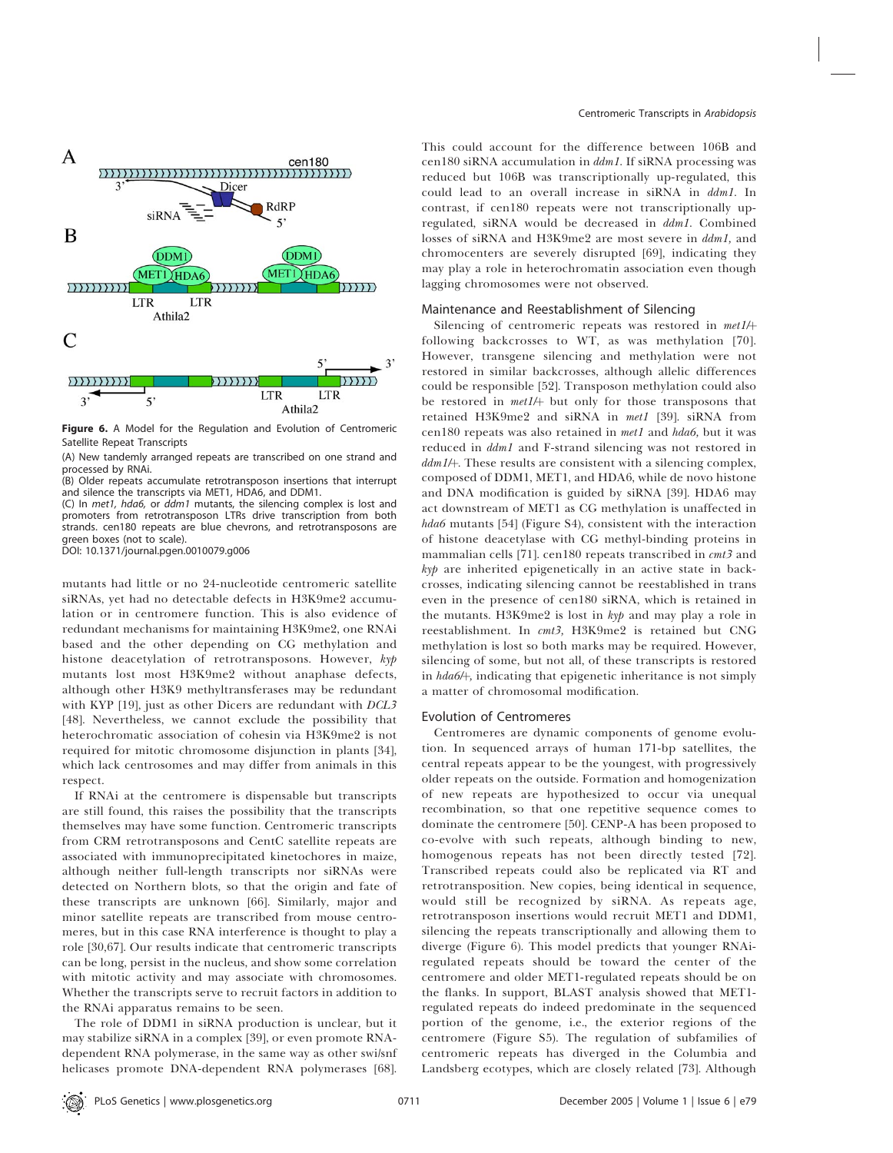

Figure 6. A Model for the Regulation and Evolution of Centromeric Satellite Repeat Transcripts

(A) New tandemly arranged repeats are transcribed on one strand and processed by RNAi.

(B) Older repeats accumulate retrotransposon insertions that interrupt and silence the transcripts via MET1, HDA6, and DDM1.

(C) In met1, hda6, or ddm1 mutants, the silencing complex is lost and promoters from retrotransposon LTRs drive transcription from both strands. cen180 repeats are blue chevrons, and retrotransposons are green boxes (not to scale).

DOI: 10.1371/journal.pgen.0010079.g006

mutants had little or no 24-nucleotide centromeric satellite siRNAs, yet had no detectable defects in H3K9me2 accumulation or in centromere function. This is also evidence of redundant mechanisms for maintaining H3K9me2, one RNAi based and the other depending on CG methylation and histone deacetylation of retrotransposons. However, kyp mutants lost most H3K9me2 without anaphase defects, although other H3K9 methyltransferases may be redundant with KYP [19], just as other Dicers are redundant with DCL3 [48]. Nevertheless, we cannot exclude the possibility that heterochromatic association of cohesin via H3K9me2 is not required for mitotic chromosome disjunction in plants [34], which lack centrosomes and may differ from animals in this respect.

If RNAi at the centromere is dispensable but transcripts are still found, this raises the possibility that the transcripts themselves may have some function. Centromeric transcripts from CRM retrotransposons and CentC satellite repeats are associated with immunoprecipitated kinetochores in maize, although neither full-length transcripts nor siRNAs were detected on Northern blots, so that the origin and fate of these transcripts are unknown [66]. Similarly, major and minor satellite repeats are transcribed from mouse centromeres, but in this case RNA interference is thought to play a role [30,67]. Our results indicate that centromeric transcripts can be long, persist in the nucleus, and show some correlation with mitotic activity and may associate with chromosomes. Whether the transcripts serve to recruit factors in addition to the RNAi apparatus remains to be seen.

The role of DDM1 in siRNA production is unclear, but it may stabilize siRNA in a complex [39], or even promote RNAdependent RNA polymerase, in the same way as other swi/snf helicases promote DNA-dependent RNA polymerases [68].

This could account for the difference between 106B and cen180 siRNA accumulation in ddm1. If siRNA processing was reduced but 106B was transcriptionally up-regulated, this could lead to an overall increase in siRNA in ddm1. In contrast, if cen180 repeats were not transcriptionally upregulated, siRNA would be decreased in ddm1. Combined losses of siRNA and H3K9me2 are most severe in ddm1, and chromocenters are severely disrupted [69], indicating they may play a role in heterochromatin association even though lagging chromosomes were not observed.

#### Maintenance and Reestablishment of Silencing

Silencing of centromeric repeats was restored in met1/+ following backcrosses to WT, as was methylation [70]. However, transgene silencing and methylation were not restored in similar backcrosses, although allelic differences could be responsible [52]. Transposon methylation could also be restored in  $met1/$  but only for those transposons that retained H3K9me2 and siRNA in met1 [39]. siRNA from cen180 repeats was also retained in met1 and hda6, but it was reduced in ddm1 and F-strand silencing was not restored in  $ddm1/$ . These results are consistent with a silencing complex, composed of DDM1, MET1, and HDA6, while de novo histone and DNA modification is guided by siRNA [39]. HDA6 may act downstream of MET1 as CG methylation is unaffected in hda6 mutants [54] (Figure S4), consistent with the interaction of histone deacetylase with CG methyl-binding proteins in mammalian cells [71]. cen180 repeats transcribed in  $cmt3$  and kyp are inherited epigenetically in an active state in backcrosses, indicating silencing cannot be reestablished in trans even in the presence of cen180 siRNA, which is retained in the mutants. H3K9me2 is lost in kyp and may play a role in reestablishment. In cmt3, H3K9me2 is retained but CNG methylation is lost so both marks may be required. However, silencing of some, but not all, of these transcripts is restored in hda6/<sub>t</sub>, indicating that epigenetic inheritance is not simply a matter of chromosomal modification.

#### Evolution of Centromeres

Centromeres are dynamic components of genome evolution. In sequenced arrays of human 171-bp satellites, the central repeats appear to be the youngest, with progressively older repeats on the outside. Formation and homogenization of new repeats are hypothesized to occur via unequal recombination, so that one repetitive sequence comes to dominate the centromere [50]. CENP-A has been proposed to co-evolve with such repeats, although binding to new, homogenous repeats has not been directly tested [72]. Transcribed repeats could also be replicated via RT and retrotransposition. New copies, being identical in sequence, would still be recognized by siRNA. As repeats age, retrotransposon insertions would recruit MET1 and DDM1, silencing the repeats transcriptionally and allowing them to diverge (Figure 6). This model predicts that younger RNAiregulated repeats should be toward the center of the centromere and older MET1-regulated repeats should be on the flanks. In support, BLAST analysis showed that MET1 regulated repeats do indeed predominate in the sequenced portion of the genome, i.e., the exterior regions of the centromere (Figure S5). The regulation of subfamilies of centromeric repeats has diverged in the Columbia and Landsberg ecotypes, which are closely related [73]. Although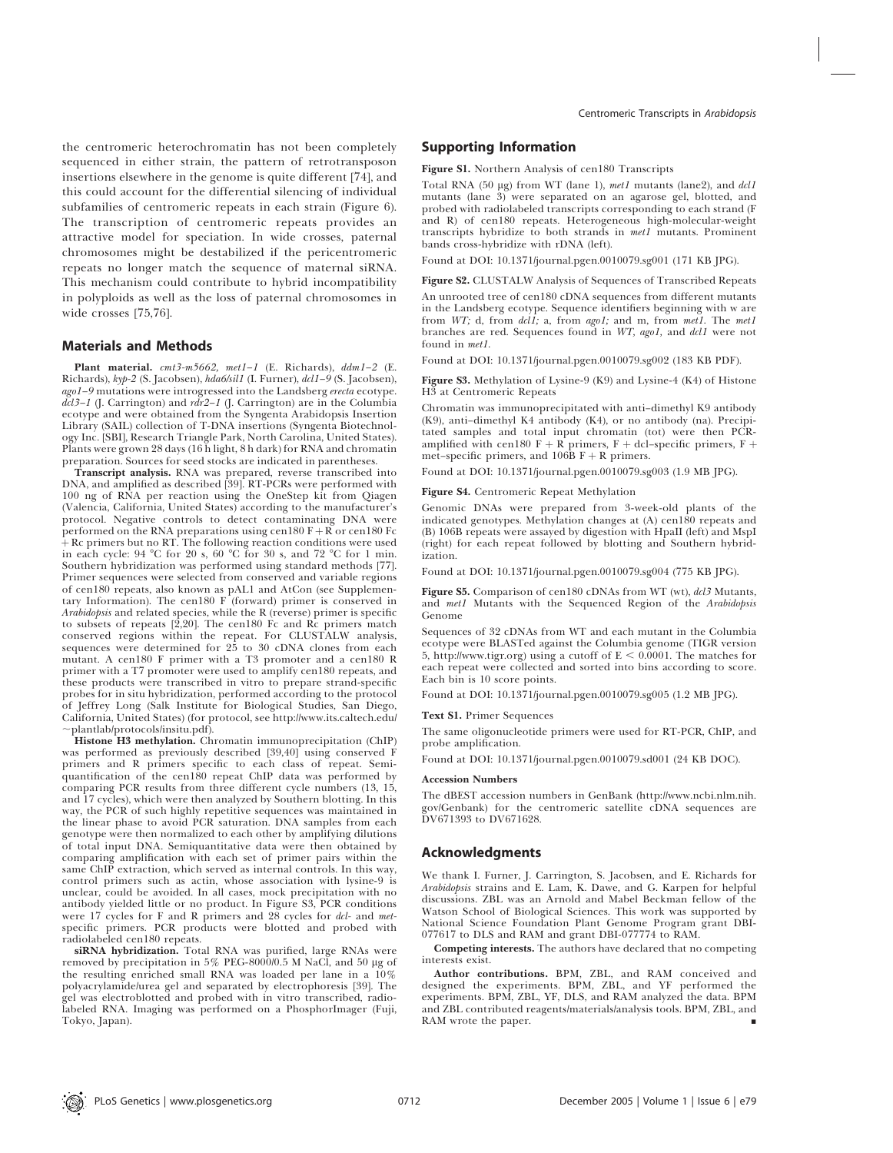the centromeric heterochromatin has not been completely sequenced in either strain, the pattern of retrotransposon insertions elsewhere in the genome is quite different [74], and this could account for the differential silencing of individual subfamilies of centromeric repeats in each strain (Figure 6). The transcription of centromeric repeats provides an attractive model for speciation. In wide crosses, paternal chromosomes might be destabilized if the pericentromeric repeats no longer match the sequence of maternal siRNA. This mechanism could contribute to hybrid incompatibility in polyploids as well as the loss of paternal chromosomes in wide crosses [75,76].

### Materials and Methods

Plant material. cmt3-m5662, met1-1 (E. Richards), ddm1-2 (E. Richards), kyp-2 (S. Jacobsen), hda6/sil1 (I. Furner), dcl1–9 (S. Jacobsen), ago1–9 mutations were introgressed into the Landsberg erecta ecotype.  $d\vec{c}l3-1$  (J. Carrington) and  $r\vec{dr}2-1$  (J. Carrington) are in the Columbia ecotype and were obtained from the Syngenta Arabidopsis Insertion Library (SAIL) collection of T-DNA insertions (Syngenta Biotechnology Inc. [SBI], Research Triangle Park, North Carolina, United States). Plants were grown 28 days (16 h light, 8 h dark) for RNA and chromatin preparation. Sources for seed stocks are indicated in parentheses.

Transcript analysis. RNA was prepared, reverse transcribed into DNA, and amplified as described [39]. RT-PCRs were performed with 100 ng of RNA per reaction using the OneStep kit from Qiagen (Valencia, California, United States) according to the manufacturer's protocol. Negative controls to detect contaminating DNA were performed on the RNA preparations using cen180  $F + R$  or cen180 Fc  $+$  Rc primers but no RT. The following reaction conditions were used in each cycle: 94 °C for 20 s, 60 °C for 30 s, and 72 °C for 1 min. Southern hybridization was performed using standard methods [77]. Primer sequences were selected from conserved and variable regions of cen180 repeats, also known as pAL1 and AtCon (see Supplementary Information). The cen180 F (forward) primer is conserved in Arabidopsis and related species, while the R (reverse) primer is specific to subsets of repeats [2,20]. The cen180 Fc and Rc primers match conserved regions within the repeat. For CLUSTALW analysis, sequences were determined for 25 to 30 cDNA clones from each mutant. A cen180 F primer with a T3 promoter and a cen180 R primer with a T7 promoter were used to amplify cen180 repeats, and these products were transcribed in vitro to prepare strand-specific probes for in situ hybridization, performed according to the protocol of Jeffrey Long (Salk Institute for Biological Studies, San Diego, California, United States) (for protocol, see http://www.its.caltech.edu/  $\sim$ plantlab/protocols/insitu.pdf).

Histone H3 methylation. Chromatin immunoprecipitation (ChIP) was performed as previously described [39,40] using conserved F primers and R primers specific to each class of repeat. Semiquantification of the cen180 repeat ChIP data was performed by comparing PCR results from three different cycle numbers (13, 15, and 17 cycles), which were then analyzed by Southern blotting. In this way, the PCR of such highly repetitive sequences was maintained in the linear phase to avoid PCR saturation. DNA samples from each genotype were then normalized to each other by amplifying dilutions of total input DNA. Semiquantitative data were then obtained by comparing amplification with each set of primer pairs within the same ChIP extraction, which served as internal controls. In this way, control primers such as actin, whose association with lysine-9 is unclear, could be avoided. In all cases, mock precipitation with no antibody yielded little or no product. In Figure S3, PCR conditions were  $17$  cycles for F and R primers and  $28$  cycles for dcl- and metspecific primers. PCR products were blotted and probed with radiolabeled cen180 repeats.

siRNA hybridization. Total RNA was purified, large RNAs were removed by precipitation in 5% PEG-8000/0.5 M NaCl, and 50 µg of the resulting enriched small RNA was loaded per lane in a 10% polyacrylamide/urea gel and separated by electrophoresis [39]. The gel was electroblotted and probed with in vitro transcribed, radiolabeled RNA. Imaging was performed on a PhosphorImager (Fuji, Tokyo, Japan).

#### Supporting Information

Figure S1. Northern Analysis of cen180 Transcripts

Total RNA (50 µg) from WT (lane 1), met1 mutants (lane2), and dcl1 mutants (lane 3) were separated on an agarose gel, blotted, and probed with radiolabeled transcripts corresponding to each strand (F and R) of cen180 repeats. Heterogeneous high-molecular-weight transcripts hybridize to both strands in met1 mutants. Prominent bands cross-hybridize with rDNA (left).

Found at DOI: 10.1371/journal.pgen.0010079.sg001 (171 KB JPG).

Figure S2. CLUSTALW Analysis of Sequences of Transcribed Repeats

An unrooted tree of cen180 cDNA sequences from different mutants in the Landsberg ecotype. Sequence identifiers beginning with w are from WT; d, from dcl1; a, from ago1; and m, from met1. The met1 branches are red. Sequences found in WT, ago1, and dcl1 were not found in met1.

Found at DOI: 10.1371/journal.pgen.0010079.sg002 (183 KB PDF).

Figure S3. Methylation of Lysine-9 (K9) and Lysine-4 (K4) of Histone H3 at Centromeric Repeats

Chromatin was immunoprecipitated with anti–dimethyl K9 antibody (K9), anti–dimethyl K4 antibody (K4), or no antibody (na). Precipitated samples and total input chromatin (tot) were then PCRamplified with cen180 F + R primers, F + dcl–specific primers, F + met–specific primers, and  $106B$  F + R primers.

Found at DOI: 10.1371/journal.pgen.0010079.sg003 (1.9 MB JPG).

#### Figure S4. Centromeric Repeat Methylation

Genomic DNAs were prepared from 3-week-old plants of the indicated genotypes. Methylation changes at (A) cen180 repeats and (B) 106B repeats were assayed by digestion with HpaII (left) and MspI (right) for each repeat followed by blotting and Southern hybridization.

Found at DOI: 10.1371/journal.pgen.0010079.sg004 (775 KB JPG).

Figure S5. Comparison of cen180 cDNAs from WT (wt), dcl3 Mutants, and met1 Mutants with the Sequenced Region of the Arabidopsis Genome

Sequences of 32 cDNAs from WT and each mutant in the Columbia ecotype were BLASTed against the Columbia genome (TIGR version 5, http://www.tigr.org) using a cutoff of  $E < 0.0001$ . The matches for each repeat were collected and sorted into bins according to score. Each bin is 10 score points.

Found at DOI: 10.1371/journal.pgen.0010079.sg005 (1.2 MB JPG).

#### Text S1. Primer Sequences

The same oligonucleotide primers were used for RT-PCR, ChIP, and probe amplification.

Found at DOI: 10.1371/journal.pgen.0010079.sd001 (24 KB DOC).

#### Accession Numbers

The dBEST accession numbers in GenBank (http://www.ncbi.nlm.nih. gov/Genbank) for the centromeric satellite cDNA sequences are DV671393 to DV671628.

#### Acknowledgments

We thank I. Furner, J. Carrington, S. Jacobsen, and E. Richards for Arabidopsis strains and E. Lam, K. Dawe, and G. Karpen for helpful discussions. ZBL was an Arnold and Mabel Beckman fellow of the Watson School of Biological Sciences. This work was supported by National Science Foundation Plant Genome Program grant DBI-077617 to DLS and RAM and grant DBI-077774 to RAM.

Competing interests. The authors have declared that no competing interests exist.

Author contributions. BPM, ZBL, and RAM conceived and designed the experiments. BPM, ZBL, and YF performed the experiments. BPM, ZBL, YF, DLS, and RAM analyzed the data. BPM and ZBL contributed reagents/materials/analysis tools. BPM, ZBL, and RAM wrote the paper.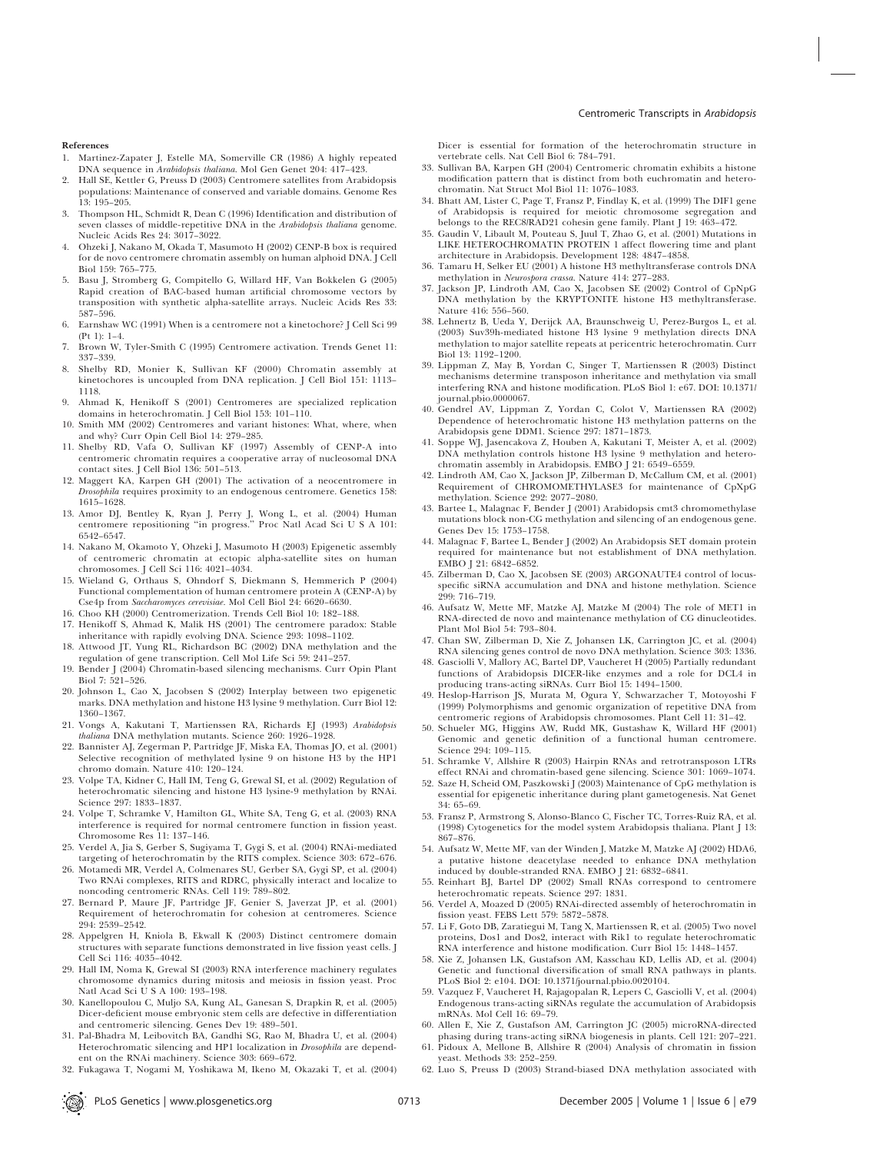#### References

- 1. Martinez-Zapater J, Estelle MA, Somerville CR (1986) A highly repeated DNA sequence in Arabidopsis thaliana. Mol Gen Genet 204: 417–423.
- 2. Hall SE, Kettler G, Preuss D (2003) Centromere satellites from Arabidopsis populations: Maintenance of conserved and variable domains. Genome Res 13: 195–205.
- 3. Thompson HL, Schmidt R, Dean C (1996) Identification and distribution of seven classes of middle-repetitive DNA in the Arabidopsis thaliana genome. Nucleic Acids Res 24: 3017–3022.
- 4. Ohzeki J, Nakano M, Okada T, Masumoto H (2002) CENP-B box is required for de novo centromere chromatin assembly on human alphoid DNA. J Cell Biol 159: 765–775.
- 5. Basu J, Stromberg G, Compitello G, Willard HF, Van Bokkelen G (2005) Rapid creation of BAC-based human artificial chromosome vectors by transposition with synthetic alpha-satellite arrays. Nucleic Acids Res 33: 587–596.
- 6. Earnshaw WC (1991) When is a centromere not a kinetochore? J Cell Sci 99 (Pt 1): 1–4.
- 7. Brown W, Tyler-Smith C (1995) Centromere activation. Trends Genet 11: 337–339.
- 8. Shelby RD, Monier K, Sullivan KF (2000) Chromatin assembly at kinetochores is uncoupled from DNA replication. J Cell Biol 151: 1113– 1118.
- 9. Ahmad K, Henikoff S (2001) Centromeres are specialized replication domains in heterochromatin. J Cell Biol 153: 101–110.
- 10. Smith MM (2002) Centromeres and variant histones: What, where, when and why? Curr Opin Cell Biol 14: 279–285.
- 11. Shelby RD, Vafa O, Sullivan KF (1997) Assembly of CENP-A into centromeric chromatin requires a cooperative array of nucleosomal DNA contact sites. J Cell Biol 136: 501–513.
- 12. Maggert KA, Karpen GH (2001) The activation of a neocentromere in Drosophila requires proximity to an endogenous centromere. Genetics 158: 1615–1628.
- 13. Amor DJ, Bentley K, Ryan J, Perry J, Wong L, et al. (2004) Human centromere repositioning ''in progress.'' Proc Natl Acad Sci U S A 101: 6542–6547.
- 14. Nakano M, Okamoto Y, Ohzeki J, Masumoto H (2003) Epigenetic assembly of centromeric chromatin at ectopic alpha-satellite sites on human chromosomes. J Cell Sci 116: 4021–4034.
- 15. Wieland G, Orthaus S, Ohndorf S, Diekmann S, Hemmerich P (2004) Functional complementation of human centromere protein A (CENP-A) by Cse4p from Saccharomyces cerevisiae. Mol Cell Biol 24: 6620–6630.
- 16. Choo KH (2000) Centromerization. Trends Cell Biol 10: 182–188.
- 17. Henikoff S, Ahmad K, Malik HS (2001) The centromere paradox: Stable inheritance with rapidly evolving DNA. Science 293: 1098–1102.
- 18. Attwood JT, Yung RL, Richardson BC (2002) DNA methylation and the regulation of gene transcription. Cell Mol Life Sci 59: 241–257.
- 19. Bender J (2004) Chromatin-based silencing mechanisms. Curr Opin Plant Biol 7: 521–526.
- 20. Johnson L, Cao X, Jacobsen S (2002) Interplay between two epigenetic marks. DNA methylation and histone H3 lysine 9 methylation. Curr Biol 12: 1360–1367.
- 21. Vongs A, Kakutani T, Martienssen RA, Richards EJ (1993) Arabidopsis thaliana DNA methylation mutants. Science 260: 1926–1928.
- 22. Bannister AJ, Zegerman P, Partridge JF, Miska EA, Thomas JO, et al. (2001) Selective recognition of methylated lysine 9 on histone H3 by the HP1 chromo domain. Nature 410: 120–124.
- 23. Volpe TA, Kidner C, Hall IM, Teng G, Grewal SI, et al. (2002) Regulation of heterochromatic silencing and histone H3 lysine-9 methylation by RNAi. Science 297: 1833–1837.
- 24. Volpe T, Schramke V, Hamilton GL, White SA, Teng G, et al. (2003) RNA interference is required for normal centromere function in fission yeast. Chromosome Res 11: 137–146.
- 25. Verdel A, Jia S, Gerber S, Sugiyama T, Gygi S, et al. (2004) RNAi-mediated targeting of heterochromatin by the RITS complex. Science 303: 672–676.
- 26. Motamedi MR, Verdel A, Colmenares SU, Gerber SA, Gygi SP, et al. (2004) Two RNAi complexes, RITS and RDRC, physically interact and localize to noncoding centromeric RNAs. Cell 119: 789–802.
- 27. Bernard P, Maure JF, Partridge JF, Genier S, Javerzat JP, et al. (2001) Requirement of heterochromatin for cohesion at centromeres. Science 294: 2539–2542.
- 28. Appelgren H, Kniola B, Ekwall K (2003) Distinct centromere domain structures with separate functions demonstrated in live fission yeast cells. J Cell Sci 116: 4035–4042.
- 29. Hall IM, Noma K, Grewal SI (2003) RNA interference machinery regulates chromosome dynamics during mitosis and meiosis in fission yeast. Proc Natl Acad Sci U S A 100: 193–198.
- 30. Kanellopoulou C, Muljo SA, Kung AL, Ganesan S, Drapkin R, et al. (2005) Dicer-deficient mouse embryonic stem cells are defective in differentiation and centromeric silencing. Genes Dev 19: 489–501.
- 31. Pal-Bhadra M, Leibovitch BA, Gandhi SG, Rao M, Bhadra U, et al. (2004) Heterochromatic silencing and HP1 localization in Drosophila are dependent on the RNAi machinery. Science 303: 669–672.
- 32. Fukagawa T, Nogami M, Yoshikawa M, Ikeno M, Okazaki T, et al. (2004)

Dicer is essential for formation of the heterochromatin structure in vertebrate cells. Nat Cell Biol 6: 784–791.

- 33. Sullivan BA, Karpen GH (2004) Centromeric chromatin exhibits a histone modification pattern that is distinct from both euchromatin and heterochromatin. Nat Struct Mol Biol 11: 1076–1083.
- 34. Bhatt AM, Lister C, Page T, Fransz P, Findlay K, et al. (1999) The DIF1 gene of Arabidopsis is required for meiotic chromosome segregation and belongs to the REC8/RAD21 cohesin gene family. Plant J 19: 463–472.
- 35. Gaudin V, Libault M, Pouteau S, Juul T, Zhao G, et al. (2001) Mutations in LIKE HETEROCHROMATIN PROTEIN 1 affect flowering time and plant architecture in Arabidopsis. Development 128: 4847–4858.
- 36. Tamaru H, Selker EU (2001) A histone H3 methyltransferase controls DNA methylation in Neurospora crassa. Nature 414: 277–283.
- 37. Jackson JP, Lindroth AM, Cao X, Jacobsen SE (2002) Control of CpNpG DNA methylation by the KRYPTONITE histone H3 methyltransferase. Nature 416: 556–560.
- 38. Lehnertz B, Ueda Y, Derijck AA, Braunschweig U, Perez-Burgos L, et al. (2003) Suv39h-mediated histone H3 lysine 9 methylation directs DNA methylation to major satellite repeats at pericentric heterochromatin. Curr Biol 13: 1192–1200.
- 39. Lippman Z, May B, Yordan C, Singer T, Martienssen R (2003) Distinct mechanisms determine transposon inheritance and methylation via small interfering RNA and histone modification. PLoS Biol 1: e67. DOI: 10.1371/ journal.pbio.0000067.
- 40. Gendrel AV, Lippman Z, Yordan C, Colot V, Martienssen RA (2002) Dependence of heterochromatic histone H3 methylation patterns on the Arabidopsis gene DDM1. Science 297: 1871–1873.
- 41. Soppe WJ, Jasencakova Z, Houben A, Kakutani T, Meister A, et al. (2002) DNA methylation controls histone H3 lysine 9 methylation and heterochromatin assembly in Arabidopsis. EMBO J 21: 6549–6559.
- 42. Lindroth AM, Cao X, Jackson JP, Zilberman D, McCallum CM, et al. (2001) Requirement of CHROMOMETHYLASE3 for maintenance of CpXpG methylation. Science 292: 2077–2080.
- 43. Bartee L, Malagnac F, Bender J (2001) Arabidopsis cmt3 chromomethylase mutations block non-CG methylation and silencing of an endogenous gene. Genes Dev 15: 1753–1758.
- 44. Malagnac F, Bartee L, Bender J (2002) An Arabidopsis SET domain protein required for maintenance but not establishment of DNA methylation. EMBO J 21: 6842–6852.
- 45. Zilberman D, Cao X, Jacobsen SE (2003) ARGONAUTE4 control of locusspecific siRNA accumulation and DNA and histone methylation. Science 299: 716–719.
- 46. Aufsatz W, Mette MF, Matzke AJ, Matzke M (2004) The role of MET1 in RNA-directed de novo and maintenance methylation of CG dinucleotides. Plant Mol Biol 54: 793–804.
- 47. Chan SW, Zilberman D, Xie Z, Johansen LK, Carrington JC, et al. (2004) RNA silencing genes control de novo DNA methylation. Science 303: 1336.
- 48. Gasciolli V, Mallory AC, Bartel DP, Vaucheret H (2005) Partially redundant functions of Arabidopsis DICER-like enzymes and a role for DCL4 in producing trans-acting siRNAs. Curr Biol 15: 1494–1500.
- 49. Heslop-Harrison JS, Murata M, Ogura Y, Schwarzacher T, Motoyoshi F (1999) Polymorphisms and genomic organization of repetitive DNA from centromeric regions of Arabidopsis chromosomes. Plant Cell 11: 31–42.
- 50. Schueler MG, Higgins AW, Rudd MK, Gustashaw K, Willard HF (2001) Genomic and genetic definition of a functional human centromere. Science 294: 109–115.
- 51. Schramke V, Allshire R (2003) Hairpin RNAs and retrotransposon LTRs
- effect RNAi and chromatin-based gene silencing. Science 301: 1069–1074. 52. Saze H, Scheid OM, Paszkowski J (2003) Maintenance of CpG methylation is essential for epigenetic inheritance during plant gametogenesis. Nat Genet 34: 65–69.
- 53. Fransz P, Armstrong S, Alonso-Blanco C, Fischer TC, Torres-Ruiz RA, et al. (1998) Cytogenetics for the model system Arabidopsis thaliana. Plant J 13: 867–876.
- 54. Aufsatz W, Mette MF, van der Winden J, Matzke M, Matzke AJ (2002) HDA6, a putative histone deacetylase needed to enhance DNA methylation induced by double-stranded RNA. EMBO J 21: 6832–6841.
- 55. Reinhart BJ, Bartel DP (2002) Small RNAs correspond to centromere heterochromatic repeats. Science 297: 1831.
- 56. Verdel A, Moazed D (2005) RNAi-directed assembly of heterochromatin in fission yeast. FEBS Lett 579: 5872–5878.
- 57. Li F, Goto DB, Zaratiegui M, Tang X, Martienssen R, et al. (2005) Two novel proteins, Dos1 and Dos2, interact with Rik1 to regulate heterochromatic RNA interference and histone modification. Curr Biol 15: 1448–1457.
- 58. Xie Z, Johansen LK, Gustafson AM, Kasschau KD, Lellis AD, et al. (2004) Genetic and functional diversification of small RNA pathways in plants. PLoS Biol 2: e104. DOI: 10.1371/journal.pbio.0020104.
- 59. Vazquez F, Vaucheret H, Rajagopalan R, Lepers C, Gasciolli V, et al. (2004) Endogenous trans-acting siRNAs regulate the accumulation of Arabidopsis mRNAs. Mol Cell 16: 69–79.
- 60. Allen E, Xie Z, Gustafson AM, Carrington JC (2005) microRNA-directed phasing during trans-acting siRNA biogenesis in plants. Cell 121: 207–221.
- 61. Pidoux A, Mellone B, Allshire R (2004) Analysis of chromatin in fission yeast. Methods 33: 252–259.
- 62. Luo S, Preuss D (2003) Strand-biased DNA methylation associated with